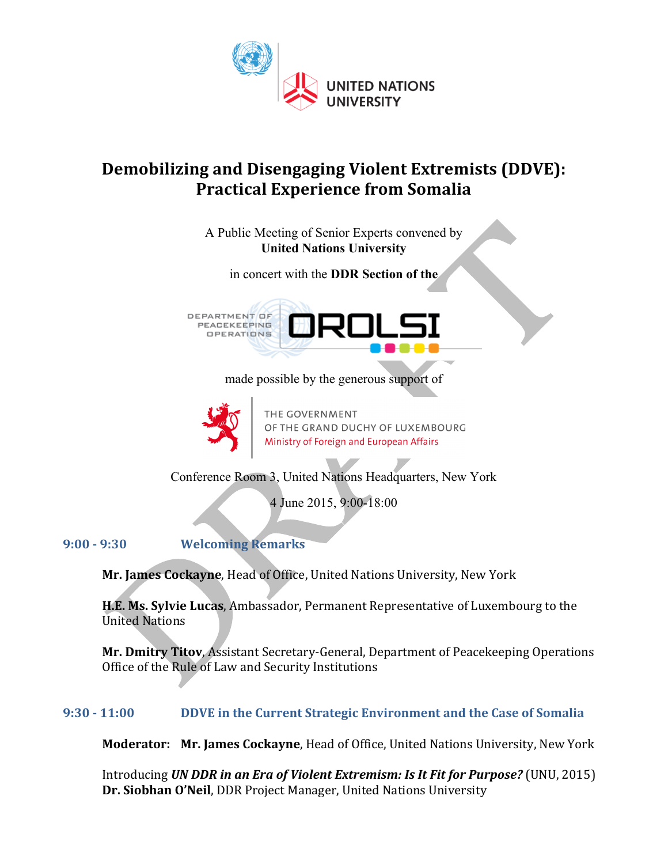

# **Demobilizing and Disengaging Violent Extremists (DDVE): Practical Experience from Somalia**

A Public Meeting of Senior Experts convened by **United Nations University**

in concert with the **DDR Section of the**

DEPARTMENT OF **PEACEKEEPING OPERATIONS** 



made possible by the generous support of



THE GOVERNMENT OF THE GRAND DUCHY OF LUXEMBOURG Ministry of Foreign and European Affairs

Conference Room 3, United Nations Headquarters, New York

4 June 2015, 9:00-18:00

**9:00 - 9:30 Welcoming Remarks**

Mr. James Cockayne, Head of Office, United Nations University, New York

**H.E. Ms. Sylvie Lucas**, Ambassador, Permanent Representative of Luxembourg to the United Nations

**Mr. Dmitry Titov, Assistant Secretary-General, Department of Peacekeeping Operations** Office of the Rule of Law and Security Institutions

# **9:30 - 11:00 DDVE** in the Current Strategic Environment and the Case of Somalia

**Moderator: Mr. James Cockayne**, Head of Office, United Nations University, New York

Introducing *UN DDR in an Era of Violent Extremism: Is It Fit for Purpose?* (UNU, 2015) **Dr. Siobhan O'Neil, DDR Project Manager, United Nations University**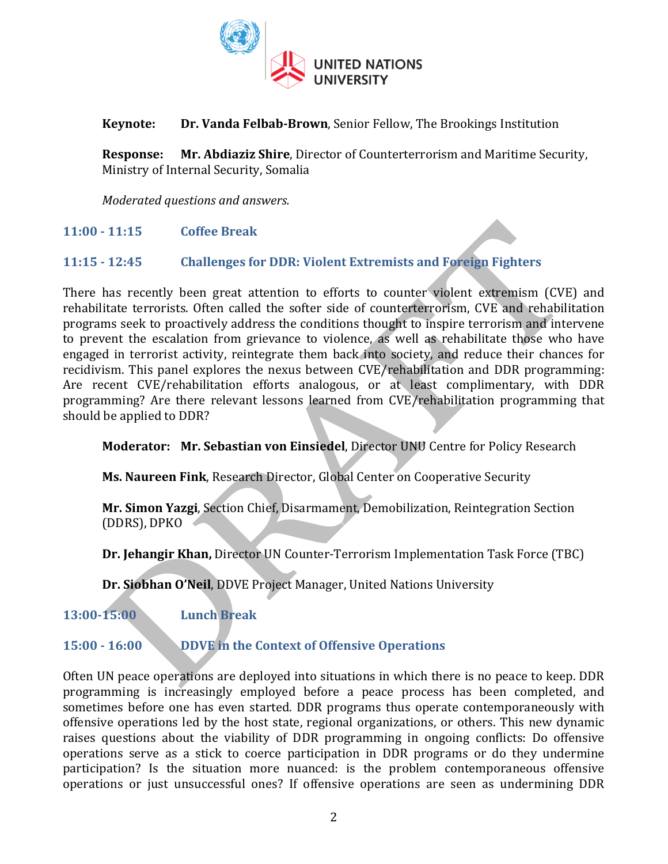

#### **Keynote:** Dr. Vanda Felbab-Brown, Senior Fellow, The Brookings Institution

**Response:** Mr. Abdiaziz Shire, Director of Counterterrorism and Maritime Security, Ministry of Internal Security, Somalia

*Moderated questions and answers.*

**11:00 - 11:15 Coffee Break**

#### **11:15 - 12:45 Challenges for DDR: Violent Extremists and Foreign Fighters**

There has recently been great attention to efforts to counter violent extremism (CVE) and rehabilitate terrorists. Often called the softer side of counterterrorism, CVE and rehabilitation programs seek to proactively address the conditions thought to inspire terrorism and intervene to prevent the escalation from grievance to violence, as well as rehabilitate those who have engaged in terrorist activity, reintegrate them back into society, and reduce their chances for recidivism. This panel explores the nexus between CVE/rehabilitation and DDR programming: Are recent CVE/rehabilitation efforts analogous, or at least complimentary, with DDR programming? Are there relevant lessons learned from CVE/rehabilitation programming that should be applied to DDR?

**Moderator: Mr. Sebastian von Einsiedel, Director UNU Centre for Policy Research** 

**Ms. Naureen Fink, Research Director, Global Center on Cooperative Security** 

**Mr. Simon Yazgi**, Section Chief, Disarmament, Demobilization, Reintegration Section (DDRS), DPKO

**Dr. Jehangir Khan,** Director UN Counter-Terrorism Implementation Task Force (TBC)

**Dr. Siobhan O'Neil, DDVE Project Manager, United Nations University** 

**13:00-15:00 Lunch Break** 

# **15:00 · 16:00 DDVE** in the Context of Offensive Operations

Often UN peace operations are deployed into situations in which there is no peace to keep. DDR programming is increasingly employed before a peace process has been completed, and sometimes before one has even started. DDR programs thus operate contemporaneously with offensive operations led by the host state, regional organizations, or others. This new dynamic raises questions about the viability of DDR programming in ongoing conflicts: Do offensive operations serve as a stick to coerce participation in DDR programs or do they undermine participation? Is the situation more nuanced: is the problem contemporaneous offensive operations or just unsuccessful ones? If offensive operations are seen as undermining DDR